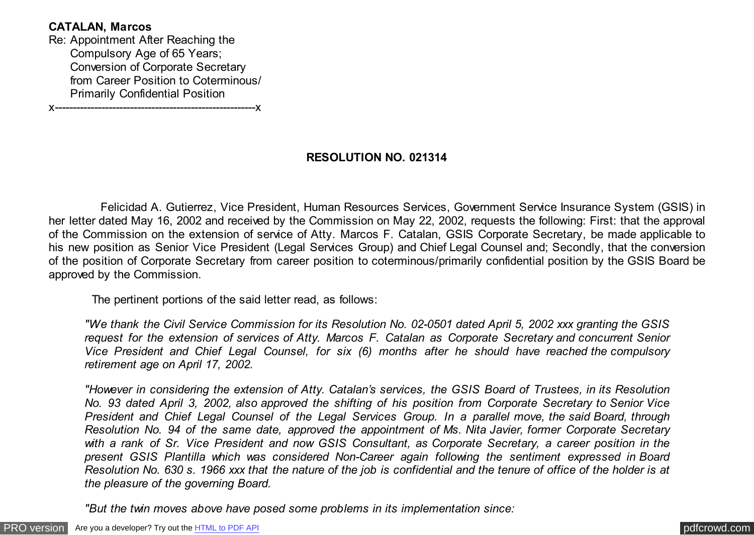## **CATALAN, Marcos**

Re: Appointment After Reaching the Compulsory Age of 65 Years; Conversion of Corporate Secretary from Career Position to Coterminous/ Primarily Confidential Position

x--------------------------------------------------------x

## **RESOLUTION NO. 021314**

 Felicidad A. Gutierrez, Vice President, Human Resources Services, Government Service Insurance System (GSIS) in her letter dated May 16, 2002 and received by the Commission on May 22, 2002, requests the following: First: that the approval of the Commission on the extension of service of Atty. Marcos F. Catalan, GSIS Corporate Secretary, be made applicable to his new position as Senior Vice President (Legal Services Group) and Chief Legal Counsel and; Secondly, that the conversion of the position of Corporate Secretary from career position to coterminous/primarily confidential position by the GSIS Board be approved by the Commission.

The pertinent portions of the said letter read, as follows:

*"We thank the Civil Service Commission for its Resolution No. 02-0501 dated April 5, 2002 xxx granting the GSIS request for the extension of services of Atty. Marcos F. Catalan as Corporate Secretary and concurrent Senior Vice President and Chief Legal Counsel, for six (6) months after he should have reached the compulsory retirement age on April 17, 2002.*

*"However in considering the extension of Atty. Catalan's services, the GSIS Board of Trustees, in its Resolution No. 93 dated April 3, 2002, also approved the shifting of his position from Corporate Secretary to Senior Vice President and Chief Legal Counsel of the Legal Services Group. In a parallel move, the said Board, through Resolution No. 94 of the same date, approved the appointment of Ms. Nita Javier, former Corporate Secretary with a rank of Sr. Vice President and now GSIS Consultant, as Corporate Secretary, a career position in the present GSIS Plantilla which was considered Non-Career again following the sentiment expressed in Board Resolution No. 630 s. 1966 xxx that the nature of the job is confidential and the tenure of office of the holder is at the pleasure of the governing Board.*

*"But the twin moves above have posed some problems in its implementation since:*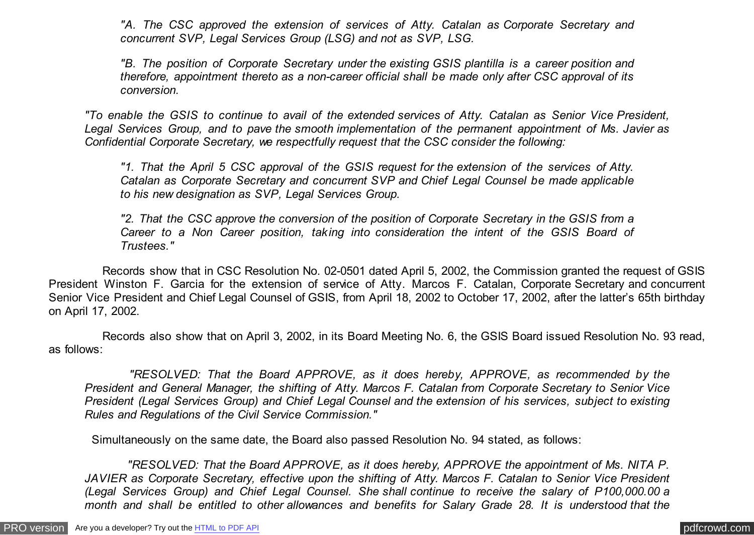*"A. The CSC approved the extension of services of Atty. Catalan as Corporate Secretary and concurrent SVP, Legal Services Group (LSG) and not as SVP, LSG.*

*"B. The position of Corporate Secretary under the existing GSIS plantilla is a career position and therefore, appointment thereto as a non-career official shall be made only after CSC approval of its conversion.*

*"To enable the GSIS to continue to avail of the extended services of Atty. Catalan as Senior Vice President, Legal Services Group, and to pave the smooth implementation of the permanent appointment of Ms. Javier as Confidential Corporate Secretary, we respectfully request that the CSC consider the following:*

*"1. That the April 5 CSC approval of the GSIS request for the extension of the services of Atty. Catalan as Corporate Secretary and concurrent SVP and Chief Legal Counsel be made applicable to his new designation as SVP, Legal Services Group.*

*"2. That the CSC approve the conversion of the position of Corporate Secretary in the GSIS from a Career to a Non Career position, taking into consideration the intent of the GSIS Board of Trustees."*

 Records show that in CSC Resolution No. 02-0501 dated April 5, 2002, the Commission granted the request of GSIS President Winston F. Garcia for the extension of service of Atty. Marcos F. Catalan, Corporate Secretary and concurrent Senior Vice President and Chief Legal Counsel of GSIS, from April 18, 2002 to October 17, 2002, after the latter's 65th birthday on April 17, 2002.

 Records also show that on April 3, 2002, in its Board Meeting No. 6, the GSIS Board issued Resolution No. 93 read, as follows:

 *"RESOLVED: That the Board APPROVE, as it does hereby, APPROVE, as recommended by the President and General Manager, the shifting of Atty. Marcos F. Catalan from Corporate Secretary to Senior Vice President (Legal Services Group) and Chief Legal Counsel and the extension of his services, subject to existing Rules and Regulations of the Civil Service Commission."*

Simultaneously on the same date, the Board also passed Resolution No. 94 stated, as follows:

 *"RESOLVED: That the Board APPROVE, as it does hereby, APPROVE the appointment of Ms. NITA P. JAVIER as Corporate Secretary, effective upon the shifting of Atty. Marcos F. Catalan to Senior Vice President (Legal Services Group) and Chief Legal Counsel. She shall continue to receive the salary of P100,000.00 a month and shall be entitled to other allowances and benefits for Salary Grade 28. It is understood that the*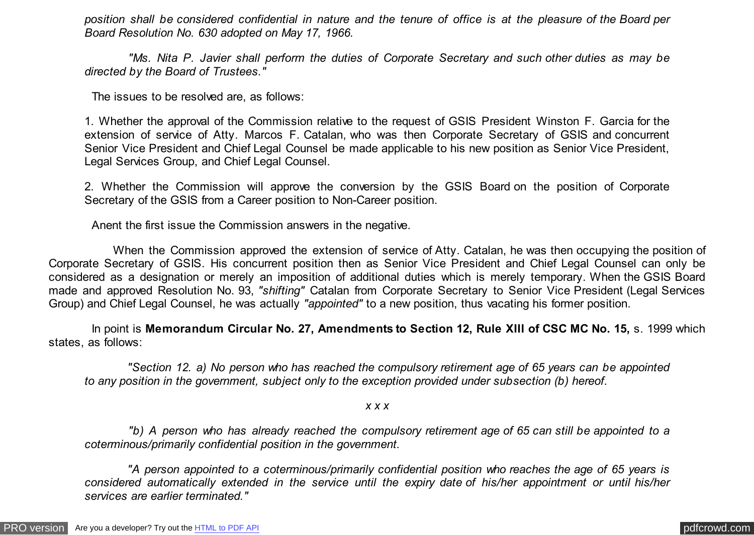*position shall be considered confidential in nature and the tenure of office is at the pleasure of the Board per Board Resolution No. 630 adopted on May 17, 1966.*

 *"Ms. Nita P. Javier shall perform the duties of Corporate Secretary and such other duties as may be directed by the Board of Trustees."*

The issues to be resolved are, as follows:

1. Whether the approval of the Commission relative to the request of GSIS President Winston F. Garcia for the extension of service of Atty. Marcos F. Catalan, who was then Corporate Secretary of GSIS and concurrent Senior Vice President and Chief Legal Counsel be made applicable to his new position as Senior Vice President, Legal Services Group, and Chief Legal Counsel.

2. Whether the Commission will approve the conversion by the GSIS Board on the position of Corporate Secretary of the GSIS from a Career position to Non-Career position.

Anent the first issue the Commission answers in the negative.

 When the Commission approved the extension of service of Atty. Catalan, he was then occupying the position of Corporate Secretary of GSIS. His concurrent position then as Senior Vice President and Chief Legal Counsel can only be considered as a designation or merely an imposition of additional duties which is merely temporary. When the GSIS Board made and approved Resolution No. 93, *"shifting"* Catalan from Corporate Secretary to Senior Vice President (Legal Services Group) and Chief Legal Counsel, he was actually *"appointed"* to a new position, thus vacating his former position.

 In point is **Memorandum Circular No. 27, Amendments to Section 12, Rule XIII of CSC MC No. 15,** s. 1999 which states, as follows:

 *"Section 12. a) No person who has reached the compulsory retirement age of 65 years can be appointed to any position in the government, subject only to the exception provided under subsection (b) hereof.*

*x x x*

 *"b) A person who has already reached the compulsory retirement age of 65 can still be appointed to a coterminous/primarily confidential position in the government.*

 *"A person appointed to a coterminous/primarily confidential position who reaches the age of 65 years is considered automatically extended in the service until the expiry date of his/her appointment or until his/her services are earlier terminated."*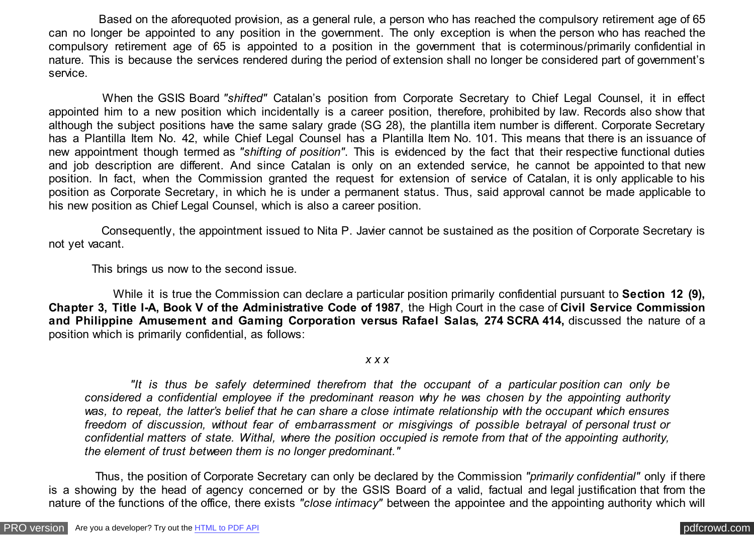Based on the aforequoted provision, as a general rule, a person who has reached the compulsory retirement age of 65 can no longer be appointed to any position in the government. The only exception is when the person who has reached the compulsory retirement age of 65 is appointed to a position in the government that is coterminous/primarily confidential in nature. This is because the services rendered during the period of extension shall no longer be considered part of government's service.

 When the GSIS Board *"shifted"* Catalan's position from Corporate Secretary to Chief Legal Counsel, it in effect appointed him to a new position which incidentally is a career position, therefore, prohibited by law. Records also show that although the subject positions have the same salary grade (SG 28), the plantilla item number is different. Corporate Secretary has a Plantilla Item No. 42, while Chief Legal Counsel has a Plantilla Item No. 101. This means that there is an issuance of new appointment though termed as *"shifting of position"*. This is evidenced by the fact that their respective functional duties and job description are different. And since Catalan is only on an extended service, he cannot be appointed to that new position. In fact, when the Commission granted the request for extension of service of Catalan, it is only applicable to his position as Corporate Secretary, in which he is under a permanent status. Thus, said approval cannot be made applicable to his new position as Chief Legal Counsel, which is also a career position.

 Consequently, the appointment issued to Nita P. Javier cannot be sustained as the position of Corporate Secretary is not yet vacant.

This brings us now to the second issue.

 While it is true the Commission can declare a particular position primarily confidential pursuant to **Section 12 (9), Chapter 3, Title I-A, Book V of the Administrative Code of 1987**, the High Court in the case of **Civil Service Commission and Philippine Amusement and Gaming Corporation versus Rafael Salas, 274 SCRA 414,** discussed the nature of a position which is primarily confidential, as follows:

*x x x*

 *"It is thus be safely determined therefrom that the occupant of a particular position can only be considered a confidential employee if the predominant reason why he was chosen by the appointing authority was, to repeat, the latter's belief that he can share a close intimate relationship with the occupant which ensures freedom of discussion, without fear of embarrassment or misgivings of possible betrayal of personal trust or confidential matters of state. Withal, where the position occupied is remote from that of the appointing authority, the element of trust between them is no longer predominant."*

 Thus, the position of Corporate Secretary can only be declared by the Commission *"primarily confidential"* only if there is a showing by the head of agency concerned or by the GSIS Board of a valid, factual and legal justification that from the nature of the functions of the office, there exists "close *intimacy*" between the appointee and the appointing authority which will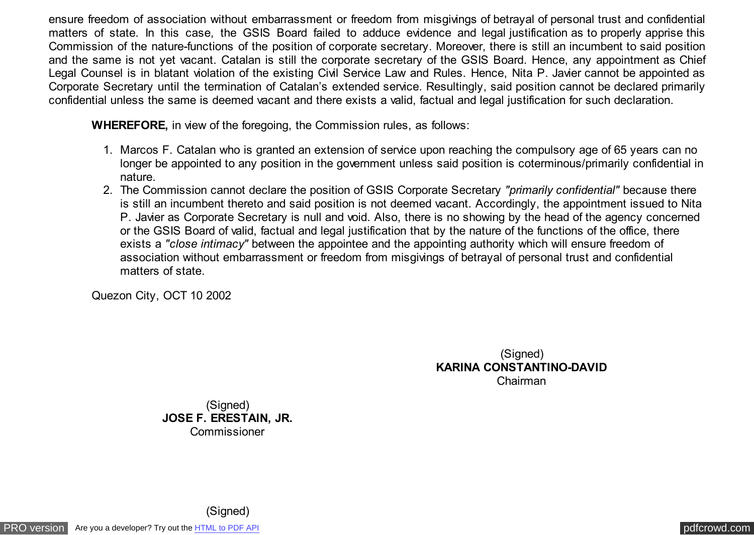ensure freedom of association without embarrassment or freedom from misgivings of betrayal of personal trust and confidential matters of state. In this case, the GSIS Board failed to adduce evidence and legal justification as to properly apprise this Commission of the nature-functions of the position of corporate secretary. Moreover, there is still an incumbent to said position and the same is not yet vacant. Catalan is still the corporate secretary of the GSIS Board. Hence, any appointment as Chief Legal Counsel is in blatant violation of the existing Civil Service Law and Rules. Hence, Nita P. Javier cannot be appointed as Corporate Secretary until the termination of Catalan's extended service. Resultingly, said position cannot be declared primarily confidential unless the same is deemed vacant and there exists a valid, factual and legal justification for such declaration.

**WHEREFORE, in view of the foregoing, the Commission rules, as follows:** 

- 1. Marcos F. Catalan who is granted an extension of service upon reaching the compulsory age of 65 years can no longer be appointed to any position in the government unless said position is coterminous/primarily confidential in nature.
- 2. The Commission cannot declare the position of GSIS Corporate Secretary *"primarily confidential"* because there is still an incumbent thereto and said position is not deemed vacant. Accordingly, the appointment issued to Nita P. Javier as Corporate Secretary is null and void. Also, there is no showing by the head of the agency concerned or the GSIS Board of valid, factual and legal justification that by the nature of the functions of the office, there exists a "close intimacy" between the appointee and the appointing authority which will ensure freedom of association without embarrassment or freedom from misgivings of betrayal of personal trust and confidential matters of state.

Quezon City, OCT 10 2002

(Signed) **KARINA CONSTANTINO-DAVID** Chairman

(Signed) **JOSE F. ERESTAIN, JR.** Commissioner

(Signed)

[PRO version](http://pdfcrowd.com/customize/) Are you a developer? Try out th[e HTML to PDF API](http://pdfcrowd.com/html-to-pdf-api/?ref=pdf) provided and the example of the HTML to PDF API [pdfcrowd.com](http://pdfcrowd.com)